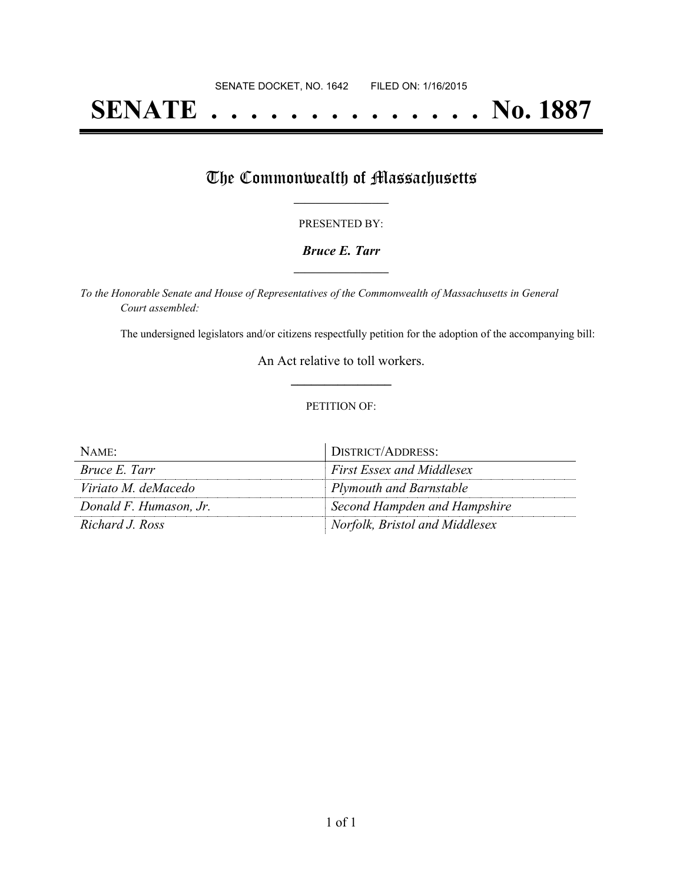# **SENATE . . . . . . . . . . . . . . No. 1887**

## The Commonwealth of Massachusetts

#### PRESENTED BY:

#### *Bruce E. Tarr* **\_\_\_\_\_\_\_\_\_\_\_\_\_\_\_\_\_**

*To the Honorable Senate and House of Representatives of the Commonwealth of Massachusetts in General Court assembled:*

The undersigned legislators and/or citizens respectfully petition for the adoption of the accompanying bill:

An Act relative to toll workers. **\_\_\_\_\_\_\_\_\_\_\_\_\_\_\_**

#### PETITION OF:

| NAME:                  | DISTRICT/ADDRESS:                |
|------------------------|----------------------------------|
| Bruce E. Tarr          | <b>First Essex and Middlesex</b> |
| Viriato M. deMacedo    | Plymouth and Barnstable          |
| Donald F. Humason, Jr. | Second Hampden and Hampshire     |
| Richard J. Ross        | Norfolk, Bristol and Middlesex   |